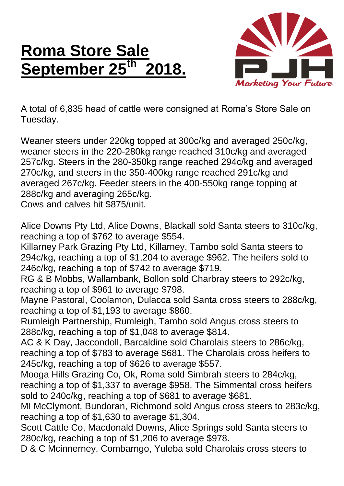## **Roma Store Sale September 25th 2018.**



A total of 6,835 head of cattle were consigned at Roma's Store Sale on Tuesday.

Weaner steers under 220kg topped at 300c/kg and averaged 250c/kg, weaner steers in the 220-280kg range reached 310c/kg and averaged 257c/kg. Steers in the 280-350kg range reached 294c/kg and averaged 270c/kg, and steers in the 350-400kg range reached 291c/kg and averaged 267c/kg. Feeder steers in the 400-550kg range topping at 288c/kg and averaging 265c/kg.

Cows and calves hit \$875/unit.

Alice Downs Pty Ltd, Alice Downs, Blackall sold Santa steers to 310c/kg, reaching a top of \$762 to average \$554.

Killarney Park Grazing Pty Ltd, Killarney, Tambo sold Santa steers to 294c/kg, reaching a top of \$1,204 to average \$962. The heifers sold to 246c/kg, reaching a top of \$742 to average \$719.

RG & B Mobbs, Wallambank, Bollon sold Charbray steers to 292c/kg, reaching a top of \$961 to average \$798.

Mayne Pastoral, Coolamon, Dulacca sold Santa cross steers to 288c/kg, reaching a top of \$1,193 to average \$860.

Rumleigh Partnership, Rumleigh, Tambo sold Angus cross steers to 288c/kg, reaching a top of \$1,048 to average \$814.

AC & K Day, Jaccondoll, Barcaldine sold Charolais steers to 286c/kg, reaching a top of \$783 to average \$681. The Charolais cross heifers to 245c/kg, reaching a top of \$626 to average \$557.

Mooga Hills Grazing Co, Ok, Roma sold Simbrah steers to 284c/kg, reaching a top of \$1,337 to average \$958. The Simmental cross heifers sold to 240c/kg, reaching a top of \$681 to average \$681.

MI McClymont, Bundoran, Richmond sold Angus cross steers to 283c/kg, reaching a top of \$1,630 to average \$1,304.

Scott Cattle Co, Macdonald Downs, Alice Springs sold Santa steers to 280c/kg, reaching a top of \$1,206 to average \$978.

D & C Mcinnerney, Combarngo, Yuleba sold Charolais cross steers to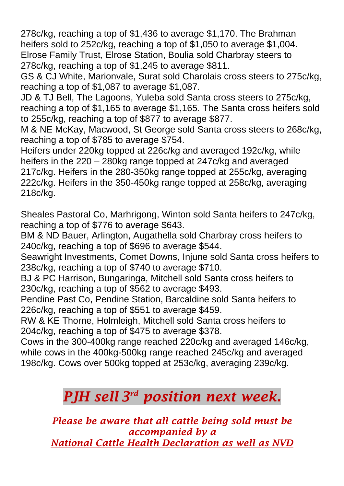278c/kg, reaching a top of \$1,436 to average \$1,170. The Brahman heifers sold to 252c/kg, reaching a top of \$1,050 to average \$1,004. Elrose Family Trust, Elrose Station, Boulia sold Charbray steers to 278c/kg, reaching a top of \$1,245 to average \$811.

GS & CJ White, Marionvale, Surat sold Charolais cross steers to 275c/kg, reaching a top of \$1,087 to average \$1,087.

JD & TJ Bell, The Lagoons, Yuleba sold Santa cross steers to 275c/kg, reaching a top of \$1,165 to average \$1,165. The Santa cross heifers sold to 255c/kg, reaching a top of \$877 to average \$877.

M & NE McKay, Macwood, St George sold Santa cross steers to 268c/kg, reaching a top of \$785 to average \$754.

Heifers under 220kg topped at 226c/kg and averaged 192c/kg, while heifers in the 220 – 280kg range topped at 247c/kg and averaged 217c/kg. Heifers in the 280-350kg range topped at 255c/kg, averaging 222c/kg. Heifers in the 350-450kg range topped at 258c/kg, averaging 218c/kg.

Sheales Pastoral Co, Marhrigong, Winton sold Santa heifers to 247c/kg, reaching a top of \$776 to average \$643.

BM & ND Bauer, Arlington, Augathella sold Charbray cross heifers to 240c/kg, reaching a top of \$696 to average \$544.

Seawright Investments, Comet Downs, Injune sold Santa cross heifers to 238c/kg, reaching a top of \$740 to average \$710.

BJ & PC Harrison, Bungaringa, Mitchell sold Santa cross heifers to 230c/kg, reaching a top of \$562 to average \$493.

Pendine Past Co, Pendine Station, Barcaldine sold Santa heifers to 226c/kg, reaching a top of \$551 to average \$459.

RW & KE Thorne, Holmleigh, Mitchell sold Santa cross heifers to 204c/kg, reaching a top of \$475 to average \$378.

Cows in the 300-400kg range reached 220c/kg and averaged 146c/kg, while cows in the 400kg-500kg range reached 245c/kg and averaged 198c/kg. Cows over 500kg topped at 253c/kg, averaging 239c/kg.

## *PJH sell 3 rd position next week.*

*Please be aware that all cattle being sold must be accompanied by a National Cattle Health Declaration as well as NVD*